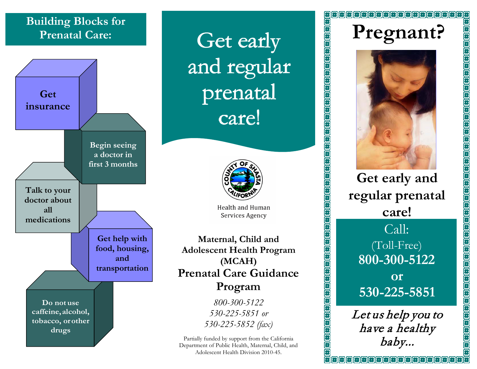## **Building Blocks for**



and regular prenatal care!



**Health and Human** Services Agency

**Maternal, Child and Adolescent Health Program (MCAH) Prenatal Care Guidance Program**

> *800-300-5122 530-225-5851 or 530-225-5852 (fax)*

Partially funded by support from the California Department of Public Health, Maternal, Child, and Adolescent Health Division 2010-45.

(8) (8) (8) (8) (8) (8) (8) (8) (8)



**Get early and regular prenatal care!** Call: (Toll-Free) **800-300-5122 or 530-225-5851**

Let us help you to have a healthy baby...